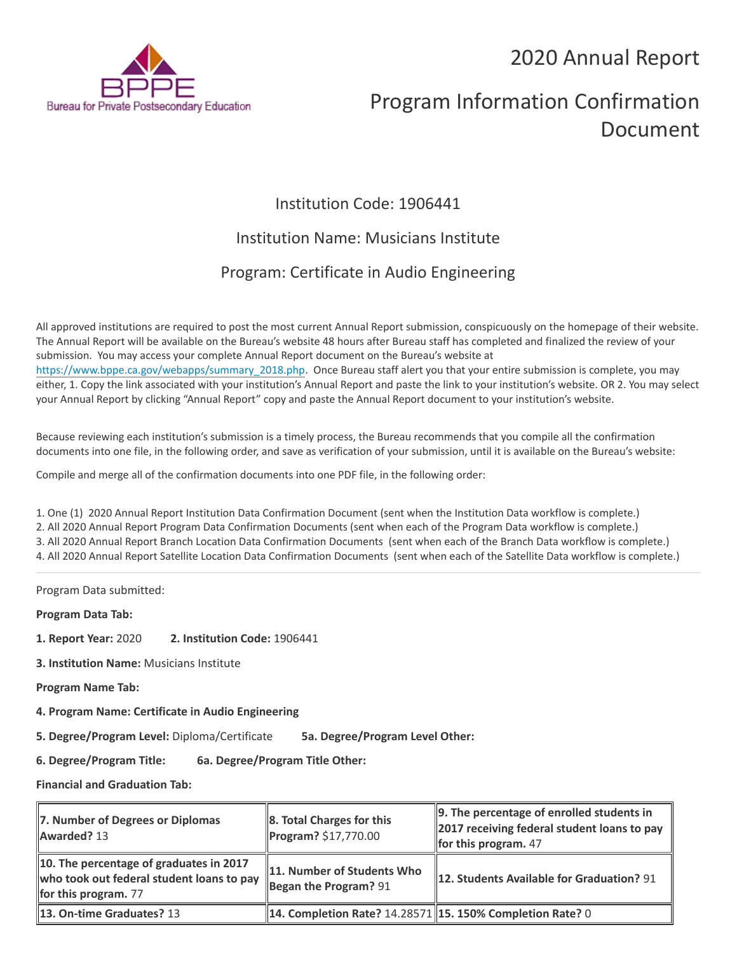## 2020 Annual Report



# Program Information Confirmation Document

## Institution Code: 1906441

### Institution Name: Musicians Institute

## Program: Certificate in Audio Engineering

All approved institutions are required to post the most current Annual Report submission, conspicuously on the homepage of their website. The Annual Report will be available on the Bureau's website 48 hours after Bureau staff has completed and finalized the review of your submission. You may access your complete Annual Report document on the Bureau's website at [https://www.bppe.ca.gov/webapps/summary\\_2018.php.](https://www.bppe.ca.gov/webapps/summary_2018.php) Once Bureau staff alert you that your entire submission is complete, you may either, 1. Copy the link associated with your institution's Annual Report and paste the link to your institution's website. OR 2. You may select your Annual Report by clicking "Annual Report" copy and paste the Annual Report document to your institution's website.

Because reviewing each institution's submission is a timely process, the Bureau recommends that you compile all the confirmation documents into one file, in the following order, and save as verification of your submission, until it is available on the Bureau's website:

Compile and merge all of the confirmation documents into one PDF file, in the following order:

1. One (1) 2020 Annual Report Institution Data Confirmation Document (sent when the Institution Data workflow is complete.) 2. All 2020 Annual Report Program Data Confirmation Documents (sent when each of the Program Data workflow is complete.) 3. All 2020 Annual Report Branch Location Data Confirmation Documents (sent when each of the Branch Data workflow is complete.) 4. All 2020 Annual Report Satellite Location Data Confirmation Documents (sent when each of the Satellite Data workflow is complete.)

Program Data submitted:

**Program Data Tab:**

- **1. Report Year:** 2020 **2. Institution Code:** 1906441
- **3. Institution Name:** Musicians Institute
- **Program Name Tab:**
- **4. Program Name: Certificate in Audio Engineering**

**5. Degree/Program Level:** Diploma/Certificate **5a. Degree/Program Level Other:**

**6. Degree/Program Title: 6a. Degree/Program Title Other:**

**Financial and Graduation Tab:**

| 7. Number of Degrees or Diplomas<br>Awarded? 13                                                              | 8. Total Charges for this<br>Program? \$17,770.00           | 9. The percentage of enrolled students in<br>$\parallel$ 2017 receiving federal student loans to pay<br>for this program. $47$ |
|--------------------------------------------------------------------------------------------------------------|-------------------------------------------------------------|--------------------------------------------------------------------------------------------------------------------------------|
| 10. The percentage of graduates in 2017<br>who took out federal student loans to pay<br>for this program. 77 | 11. Number of Students Who<br>Began the Program? $91$       | 12. Students Available for Graduation? 91                                                                                      |
| <b>13. On-time Graduates? 13</b>                                                                             | 14. Completion Rate? 14.28571   15. 150% Completion Rate? 0 |                                                                                                                                |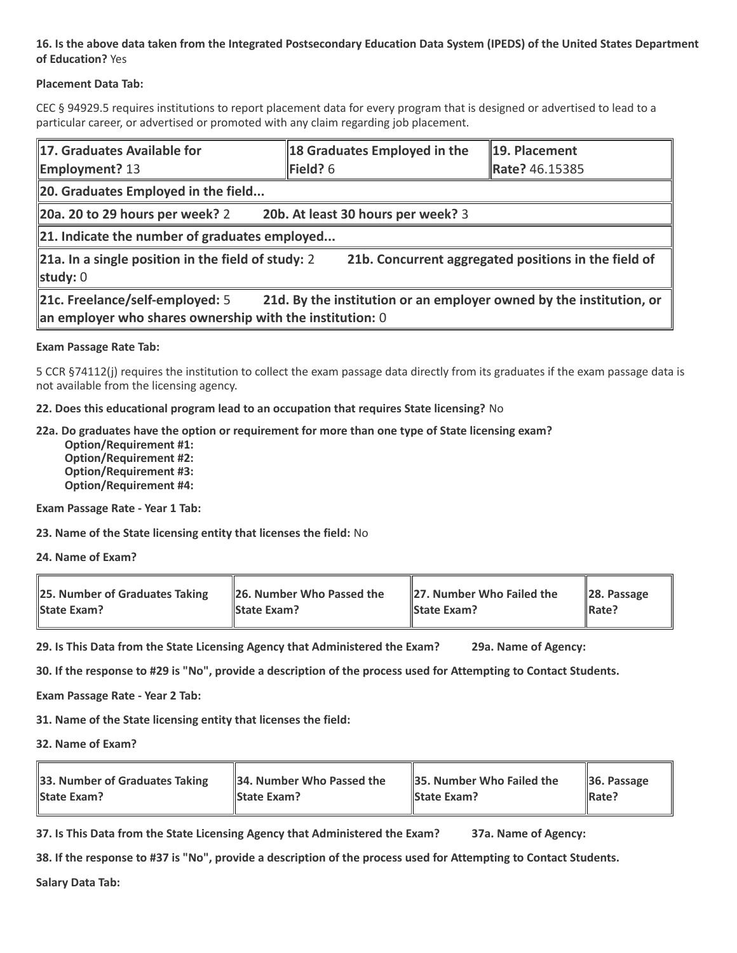#### **16. Is the above data taken from the Integrated Postsecondary Education Data System (IPEDS) of the United States Department of Education?** Yes

#### **Placement Data Tab:**

CEC § 94929.5 requires institutions to report placement data for every program that is designed or advertised to lead to a particular career, or advertised or promoted with any claim regarding job placement.

| 17. Graduates Available for<br><b>Employment?</b> 13                                                                                                                    | 18 Graduates Employed in the<br>$\blacktriangleright$ Field? 6 | 19. Placement<br>Rate? 46.15385 |  |  |
|-------------------------------------------------------------------------------------------------------------------------------------------------------------------------|----------------------------------------------------------------|---------------------------------|--|--|
| 20. Graduates Employed in the field                                                                                                                                     |                                                                |                                 |  |  |
| $\vert$ 20a. 20 to 29 hours per week? 2<br>20b. At least 30 hours per week? 3                                                                                           |                                                                |                                 |  |  |
| $\ $ 21. Indicate the number of graduates employed                                                                                                                      |                                                                |                                 |  |  |
| 21a. In a single position in the field of study: 2<br>21b. Concurrent aggregated positions in the field of<br>study: $0$                                                |                                                                |                                 |  |  |
| 21c. Freelance/self-employed: 5<br>21d. By the institution or an employer owned by the institution, or<br>$\ $ an employer who shares ownership with the institution: 0 |                                                                |                                 |  |  |

#### **Exam Passage Rate Tab:**

5 CCR §74112(j) requires the institution to collect the exam passage data directly from its graduates if the exam passage data is not available from the licensing agency.

**22. Does this educational program lead to an occupation that requires State licensing?** No

#### **22a. Do graduates have the option or requirement for more than one type of State licensing exam?**

 **Option/Requirement #1: Option/Requirement #2: Option/Requirement #3: Option/Requirement #4:**

**Exam Passage Rate - Year 1 Tab:**

**23. Name of the State licensing entity that licenses the field:** No

**24. Name of Exam?**

| 25. Number of Graduates Taking | 26. Number Who Passed the | 27. Number Who Failed the | $\ $ 28. Passage |
|--------------------------------|---------------------------|---------------------------|------------------|
| <b>State Exam?</b>             | <b>State Exam?</b>        | <b>State Exam?</b>        | Rate?            |

**29. Is This Data from the State Licensing Agency that Administered the Exam? 29a. Name of Agency:**

**30. If the response to #29 is "No", provide a description of the process used for Attempting to Contact Students.**

**Exam Passage Rate - Year 2 Tab:**

**31. Name of the State licensing entity that licenses the field:**

**32. Name of Exam?**

| 33. Number of Graduates Taking | 34. Number Who Passed the | <b>35. Number Who Failed the</b> | $\parallel$ 36. Passage |
|--------------------------------|---------------------------|----------------------------------|-------------------------|
| <b>State Exam?</b>             | <b>State Exam?</b>        | <b>State Exam?</b>               | $\parallel$ Rate?       |

**37. Is This Data from the State Licensing Agency that Administered the Exam? 37a. Name of Agency:**

**38. If the response to #37 is "No", provide a description of the process used for Attempting to Contact Students.** 

**Salary Data Tab:**